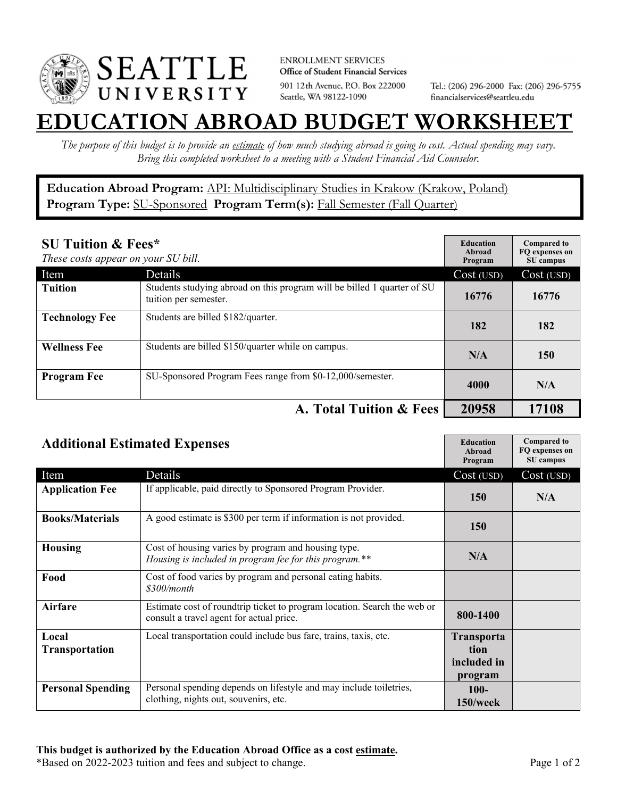

**ENROLLMENT SERVICES** Office of Student Financial Services 901 12th Avenue, P.O. Box 222000 Seattle, WA 98122-1090

Tel.: (206) 296-2000 Fax: (206) 296-5755 financialservices@seattleu.edu

## **EATION ABROAD BUDGET WORKSHEE**

*The purpose of this budget is to provide an estimate of how much studying abroad is going to cost. Actual spending may vary. Bring this completed worksheet to a meeting with a Student Financial Aid Counselor.* 

**Education Abroad Program:** API: Multidisciplinary Studies in Krakow (Krakow, Poland) Program Type: **SU-Sponsored** Program Term(s): **Fall Semester (Fall Quarter)** 

| <b>SU Tuition &amp; Fees*</b><br>These costs appear on your SU bill. |                                                                                                  | <b>Education</b><br>Abroad<br>Program | <b>Compared to</b><br>FO expenses on<br>SU campus |
|----------------------------------------------------------------------|--------------------------------------------------------------------------------------------------|---------------------------------------|---------------------------------------------------|
| Item                                                                 | Details                                                                                          | Cost (USD)                            | Cost (USD)                                        |
| <b>Tuition</b>                                                       | Students studying abroad on this program will be billed 1 quarter of SU<br>tuition per semester. | 16776                                 | 16776                                             |
| <b>Technology Fee</b>                                                | Students are billed \$182/quarter.                                                               | 182                                   | 182                                               |
| <b>Wellness Fee</b>                                                  | Students are billed \$150/quarter while on campus.                                               | N/A                                   | 150                                               |
| <b>Program Fee</b>                                                   | SU-Sponsored Program Fees range from \$0-12,000/semester.                                        | 4000                                  | N/A                                               |
|                                                                      | A. Total Tuition & Fees                                                                          | 20958                                 | 17108                                             |

| <b>Additional Estimated Expenses</b> |                                                                                                                      | <b>Education</b><br><b>Abroad</b><br>Program        | <b>Compared to</b><br>FQ expenses on<br>SU campus |
|--------------------------------------|----------------------------------------------------------------------------------------------------------------------|-----------------------------------------------------|---------------------------------------------------|
| Item                                 | Details                                                                                                              | Cost (USD)                                          | Cost (USD)                                        |
| <b>Application Fee</b>               | If applicable, paid directly to Sponsored Program Provider.                                                          | <b>150</b>                                          | N/A                                               |
| <b>Books/Materials</b>               | A good estimate is \$300 per term if information is not provided.                                                    | <b>150</b>                                          |                                                   |
| <b>Housing</b>                       | Cost of housing varies by program and housing type.<br>Housing is included in program fee for this program.**        | N/A                                                 |                                                   |
| Food                                 | Cost of food varies by program and personal eating habits.<br>\$300/month                                            |                                                     |                                                   |
| <b>Airfare</b>                       | Estimate cost of roundtrip ticket to program location. Search the web or<br>consult a travel agent for actual price. | 800-1400                                            |                                                   |
| Local<br><b>Transportation</b>       | Local transportation could include bus fare, trains, taxis, etc.                                                     | <b>Transporta</b><br>tion<br>included in<br>program |                                                   |
| <b>Personal Spending</b>             | Personal spending depends on lifestyle and may include toiletries,<br>clothing, nights out, souvenirs, etc.          | $100-$<br>$150$ /week                               |                                                   |